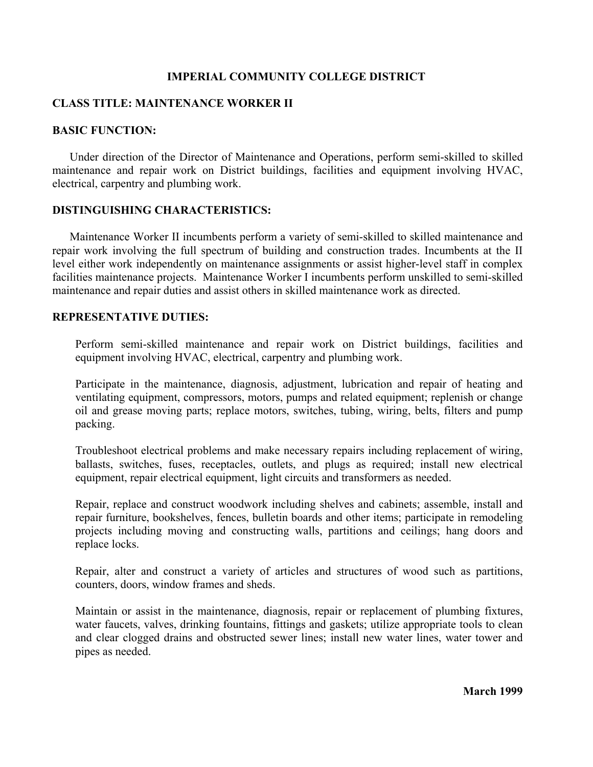## **IMPERIAL COMMUNITY COLLEGE DISTRICT**

# **CLASS TITLE: MAINTENANCE WORKER II**

## **BASIC FUNCTION:**

Under direction of the Director of Maintenance and Operations, perform semi-skilled to skilled maintenance and repair work on District buildings, facilities and equipment involving HVAC, electrical, carpentry and plumbing work.

#### **DISTINGUISHING CHARACTERISTICS:**

Maintenance Worker II incumbents perform a variety of semi-skilled to skilled maintenance and repair work involving the full spectrum of building and construction trades. Incumbents at the II level either work independently on maintenance assignments or assist higher-level staff in complex facilities maintenance projects. Maintenance Worker I incumbents perform unskilled to semi-skilled maintenance and repair duties and assist others in skilled maintenance work as directed.

#### **REPRESENTATIVE DUTIES:**

Perform semi-skilled maintenance and repair work on District buildings, facilities and equipment involving HVAC, electrical, carpentry and plumbing work.

Participate in the maintenance, diagnosis, adjustment, lubrication and repair of heating and ventilating equipment, compressors, motors, pumps and related equipment; replenish or change oil and grease moving parts; replace motors, switches, tubing, wiring, belts, filters and pump packing.

Troubleshoot electrical problems and make necessary repairs including replacement of wiring, ballasts, switches, fuses, receptacles, outlets, and plugs as required; install new electrical equipment, repair electrical equipment, light circuits and transformers as needed.

Repair, replace and construct woodwork including shelves and cabinets; assemble, install and repair furniture, bookshelves, fences, bulletin boards and other items; participate in remodeling projects including moving and constructing walls, partitions and ceilings; hang doors and replace locks.

Repair, alter and construct a variety of articles and structures of wood such as partitions, counters, doors, window frames and sheds.

Maintain or assist in the maintenance, diagnosis, repair or replacement of plumbing fixtures, water faucets, valves, drinking fountains, fittings and gaskets; utilize appropriate tools to clean and clear clogged drains and obstructed sewer lines; install new water lines, water tower and pipes as needed.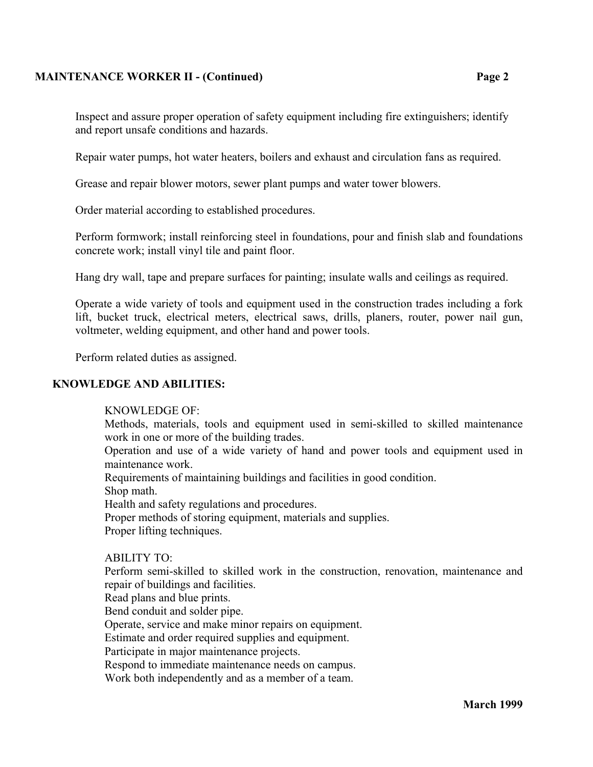## **MAINTENANCE WORKER II - (Continued) Page 2**

Inspect and assure proper operation of safety equipment including fire extinguishers; identify and report unsafe conditions and hazards.

Repair water pumps, hot water heaters, boilers and exhaust and circulation fans as required.

Grease and repair blower motors, sewer plant pumps and water tower blowers.

Order material according to established procedures.

Perform formwork; install reinforcing steel in foundations, pour and finish slab and foundations concrete work; install vinyl tile and paint floor.

Hang dry wall, tape and prepare surfaces for painting; insulate walls and ceilings as required.

Operate a wide variety of tools and equipment used in the construction trades including a fork lift, bucket truck, electrical meters, electrical saws, drills, planers, router, power nail gun, voltmeter, welding equipment, and other hand and power tools.

Perform related duties as assigned.

## **KNOWLEDGE AND ABILITIES:**

#### KNOWLEDGE OF:

Methods, materials, tools and equipment used in semi-skilled to skilled maintenance work in one or more of the building trades.

Operation and use of a wide variety of hand and power tools and equipment used in maintenance work.

Requirements of maintaining buildings and facilities in good condition.

Shop math.

Health and safety regulations and procedures.

Proper methods of storing equipment, materials and supplies.

Proper lifting techniques.

## ABILITY TO:

Perform semi-skilled to skilled work in the construction, renovation, maintenance and repair of buildings and facilities.

Read plans and blue prints.

Bend conduit and solder pipe.

Operate, service and make minor repairs on equipment.

Estimate and order required supplies and equipment.

Participate in major maintenance projects.

Respond to immediate maintenance needs on campus.

Work both independently and as a member of a team.